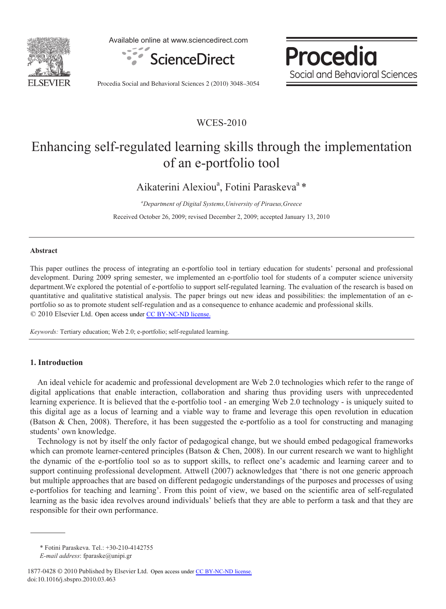

Available online at www.sciencedirect.com



Procedia Social and Behavioral Sciences

Procedia Social and Behavioral Sciences 2 (2010) 3048–3054

## WCES-2010

# Enhancing self-regulated learning skills through the implementation of an e-portfolio tool

Aikaterini Alexiou<sup>a</sup>, Fotini Paraskeva<sup>a</sup>\*

*a Department of Digital Systems,University of Piraeus,Greece*  Received October 26, 2009; revised December 2, 2009; accepted January 13, 2010

## **Abstract**

This paper outlines the process of integrating an e-portfolio tool in tertiary education for students' personal and professional development. During 2009 spring semester, we implemented an e-portfolio tool for students of a computer science university department.We explored the potential of e-portfolio to support self-regulated learning. The evaluation of the research is based on quantitative and qualitative statistical analysis. The paper brings out new ideas and possibilities: the implementation of an eportfolio so as to promote student self-regulation and as a consequence to enhance academic and professional skills. © 2010 Elsevier Ltd. Open access under [CC BY-NC-ND license.](http://creativecommons.org/licenses/by-nc-nd/3.0/)

*Keywords:* Tertiary education; Web 2.0; e-portfolio; self-regulated learning.

## **1. Introduction**

An ideal vehicle for academic and professional development are Web 2.0 technologies which refer to the range of digital applications that enable interaction, collaboration and sharing thus providing users with unprecedented learning experience. It is believed that the e-portfolio tool - an emerging Web 2.0 technology - is uniquely suited to this digital age as a locus of learning and a viable way to frame and leverage this open revolution in education (Batson & Chen, 2008). Therefore, it has been suggested the e-portfolio as a tool for constructing and managing students' own knowledge.

Technology is not by itself the only factor of pedagogical change, but we should embed pedagogical frameworks which can promote learner-centered principles (Batson & Chen, 2008). In our current research we want to highlight the dynamic of the e-portfolio tool so as to support skills, to reflect one's academic and learning career and to support continuing professional development. Attwell (2007) acknowledges that 'there is not one generic approach but multiple approaches that are based on different pedagogic understandings of the purposes and processes of using e-portfolios for teaching and learning'. From this point of view, we based on the scientific area of self-regulated learning as the basic idea revolves around individuals' beliefs that they are able to perform a task and that they are responsible for their own performance.

<sup>\*</sup> Fotini Paraskeva. Tel.: +30-210-4142755

*E-mail address*: fparaske@unipi.gr

<sup>1877-0428 © 2010</sup> Published by Elsevier Ltd. Open access under [CC BY-NC-ND license.](http://creativecommons.org/licenses/by-nc-nd/3.0/)doi:10.1016/j.sbspro.2010.03.463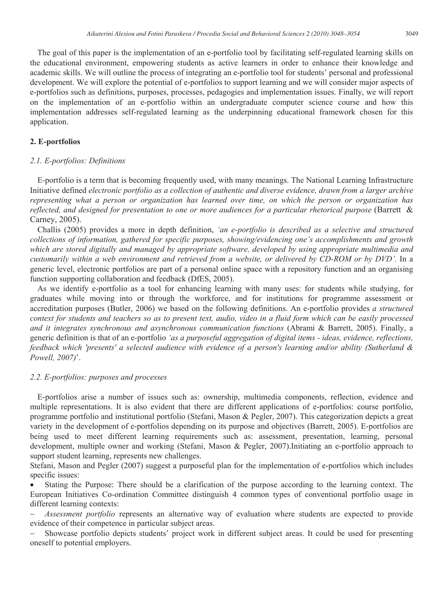The goal of this paper is the implementation of an e-portfolio tool by facilitating self-regulated learning skills on the educational environment, empowering students as active learners in order to enhance their knowledge and academic skills. We will outline the process of integrating an e-portfolio tool for students' personal and professional development. We will explore the potential of e-portfolios to support learning and we will consider major aspects of e-portfolios such as definitions, purposes, processes, pedagogies and implementation issues. Finally, we will report on the implementation of an e-portfolio within an undergraduate computer science course and how this implementation addresses self-regulated learning as the underpinning educational framework chosen for this application.

## **2. E-portfolios**

## *2.1. E-portfolios: Definitions*

E-portfolio is a term that is becoming frequently used, with many meanings. The National Learning Infrastructure Initiative defined *electronic portfolio as a collection of authentic and diverse evidence, drawn from a larger archive representing what a person or organization has learned over time, on which the person or organization has reflected, and designed for presentation to one or more audiences for a particular rhetorical purpose* (Barrett & Carney, 2005).

Challis (2005) provides a more in depth definition, *'an e-portfolio is described as a selective and structured collections of information, gathered for specific purposes, showing/evidencing one's accomplishments and growth which are stored digitally and managed by appropriate software, developed by using appropriate multimedia and customarily within a web environment and retrieved from a website, or delivered by CD-ROM or by DVD'.* In a generic level, electronic portfolios are part of a personal online space with a repository function and an organising function supporting collaboration and feedback (DfES, 2005).

As we identify e-portfolio as a tool for enhancing learning with many uses: for students while studying, for graduates while moving into or through the workforce, and for institutions for programme assessment or accreditation purposes (Butler, 2006) we based on the following definitions. An e-portfolio provides *a structured context for students and teachers so as to present text, audio, video in a fluid form which can be easily processed and it integrates synchronous and asynchronous communication functions* (Abrami & Barrett, 2005). Finally, a generic definition is that of an e-portfolio *'as a purposeful aggregation of digital items - ideas, evidence, reflections, feedback which 'presents' a selected audience with evidence of a person's learning and/or ability (Sutherland & Powell, 2007)*'.

#### *2.2. E-portfolios: purposes and processes*

E-portfolios arise a number of issues such as: ownership, multimedia components, reflection, evidence and multiple representations. It is also evident that there are different applications of e-portfolios: course portfolio, programme portfolio and institutional portfolio (Stefani, Mason & Pegler, 2007). This categorization depicts a great variety in the development of e-portfolios depending on its purpose and objectives (Barrett, 2005). E-portfolios are being used to meet different learning requirements such as: assessment, presentation, learning, personal development, multiple owner and working (Stefani, Mason & Pegler, 2007).Initiating an e-portfolio approach to support student learning, represents new challenges.

Stefani, Mason and Pegler (2007) suggest a purposeful plan for the implementation of e-portfolios which includes specific issues:

• Stating the Purpose: There should be a clarification of the purpose according to the learning context. The European Initiatives Co-ordination Committee distinguish 4 common types of conventional portfolio usage in different learning contexts:

 *Assessment portfolio* represents an alternative way of evaluation where students are expected to provide evidence of their competence in particular subject areas.

 Showcase portfolio depicts students' project work in different subject areas. It could be used for presenting oneself to potential employers.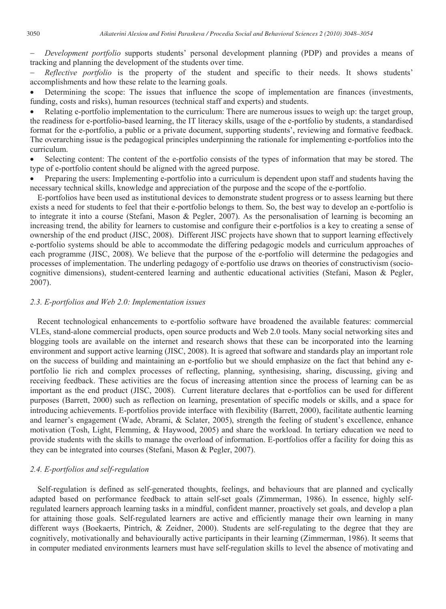*Development portfolio* supports students' personal development planning (PDP) and provides a means of tracking and planning the development of the students over time.

 *Reflective portfolio* is the property of the student and specific to their needs. It shows students' accomplishments and how these relate to the learning goals.

Determining the scope: The issues that influence the scope of implementation are finances (investments, funding, costs and risks), human resources (technical staff and experts) and students.

Relating e-portfolio implementation to the curriculum: There are numerous issues to weigh up: the target group, the readiness for e-portfolio-based learning, the IT literacy skills, usage of the e-portfolio by students, a standardised format for the e-portfolio, a public or a private document, supporting students', reviewing and formative feedback. The overarching issue is the pedagogical principles underpinning the rationale for implementing e-portfolios into the curriculum.

Selecting content: The content of the e-portfolio consists of the types of information that may be stored. The type of e-portfolio content should be aligned with the agreed purpose.

Preparing the users: Implementing e-portfolio into a curriculum is dependent upon staff and students having the necessary technical skills, knowledge and appreciation of the purpose and the scope of the e-portfolio.

E-portfolios have been used as institutional devices to demonstrate student progress or to assess learning but there exists a need for students to feel that their e-portfolio belongs to them. So, the best way to develop an e-portfolio is to integrate it into a course (Stefani, Mason & Pegler, 2007). As the personalisation of learning is becoming an increasing trend, the ability for learners to customise and configure their e-portfolios is a key to creating a sense of ownership of the end product (JISC, 2008). Different JISC projects have shown that to support learning effectively e-portfolio systems should be able to accommodate the differing pedagogic models and curriculum approaches of each programme (JISC, 2008). We believe that the purpose of the e-portfolio will determine the pedagogies and processes of implementation. The underling pedagogy of e-portfolio use draws on theories of constructivism (sociocognitive dimensions), student-centered learning and authentic educational activities (Stefani, Mason & Pegler, 2007).

## *2.3. E-portfolios and Web 2.0: Implementation issues*

Recent technological enhancements to e-portfolio software have broadened the available features: commercial VLEs, stand-alone commercial products, open source products and Web 2.0 tools. Many social networking sites and blogging tools are available on the internet and research shows that these can be incorporated into the learning environment and support active learning (JISC, 2008). It is agreed that software and standards play an important role on the success of building and maintaining an e-portfolio but we should emphasize on the fact that behind any eportfolio lie rich and complex processes of reflecting, planning, synthesising, sharing, discussing, giving and receiving feedback. These activities are the focus of increasing attention since the process of learning can be as important as the end product (JISC, 2008). Current literature declares that e-portfolios can be used for different purposes (Barrett, 2000) such as reflection on learning, presentation of specific models or skills, and a space for introducing achievements. E-portfolios provide interface with flexibility (Barrett, 2000), facilitate authentic learning and learner's engagement (Wade, Abrami, & Sclater, 2005), strength the feeling of student's excellence, enhance motivation (Tosh, Light, Flemming, & Haywood, 2005) and share the workload. In tertiary education we need to provide students with the skills to manage the overload of information. E-portfolios offer a facility for doing this as they can be integrated into courses (Stefani, Mason & Pegler, 2007).

## *2.4. E-portfolios and self-regulation*

Self-regulation is defined as self-generated thoughts, feelings, and behaviours that are planned and cyclically adapted based on performance feedback to attain self-set goals (Zimmerman, 1986). In essence, highly selfregulated learners approach learning tasks in a mindful, confident manner, proactively set goals, and develop a plan for attaining those goals. Self-regulated learners are active and efficiently manage their own learning in many different ways (Boekaerts, Pintrich, & Zeidner, 2000). Students are self-regulating to the degree that they are cognitively, motivationally and behaviourally active participants in their learning (Zimmerman, 1986). It seems that in computer mediated environments learners must have self-regulation skills to level the absence of motivating and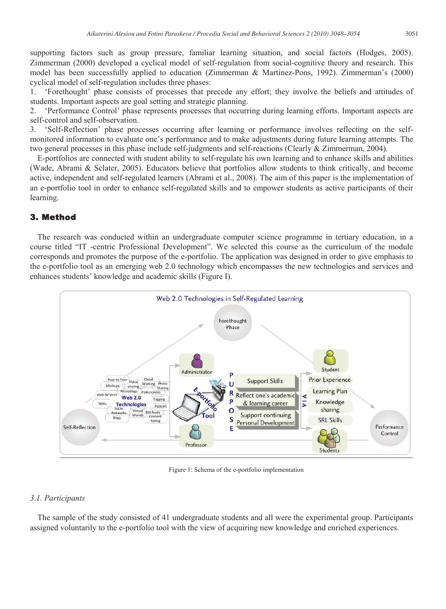supporting factors such as group pressure, familiar learning situation, and social factors (Hodges, 2005). Zimmerman (2000) developed a cyclical model of self-regulation from social-cognitive theory and research. This model has been successfully applied to education (Zimmerman & Martinez-Pons, 1992). Zimmerman's (2000) cyclical model of self-regulation includes three phases:

1. 'Forethought' phase consists of processes that precede any effort; they involve the beliefs and attitudes of students. Important aspects are goal setting and strategic planning.

2. 'Performance Control' phase represents processes that occurring during learning efforts. Important aspects are self-control and self-observation.

3. 'Self-Reflection' phase processes occurring after learning or performance involves reflecting on the selfmonitored information to evaluate one's performance and to make adjustments during future learning attempts. The two general processes in this phase include self-judgments and self-reactions (Clearly & Zimmerman, 2004).

E-portfolios are connected with student ability to self-regulate his own learning and to enhance skills and abilities (Wade, Abrami & Sclater, 2005). Educators believe that portfolios allow students to think critically, and become active, independent and self-regulated learners (Abrami et al., 2008). The aim of this paper is the implementation of an e-portfolio tool in order to enhance self-regulated skills and to empower students as active participants of their learning.

## 3. Method

The research was conducted within an undergraduate computer science programme in tertiary education, in a course titled "IT -centric Professional Development". We selected this course as the curriculum of the module corresponds and promotes the purpose of the e-portfolio. The application was designed in order to give emphasis to the e-portfolio tool as an emerging web 2.0 technology which encompasses the new technologies and services and enhances students' knowledge and academic skills (Figure I).



Figure 1: Schema of the e-portfolio implementation

## *3.1. Participants*

The sample of the study consisted of 41 undergraduate students and all were the experimental group. Participants assigned voluntarily to the e-portfolio tool with the view of acquiring new knowledge and enriched experiences.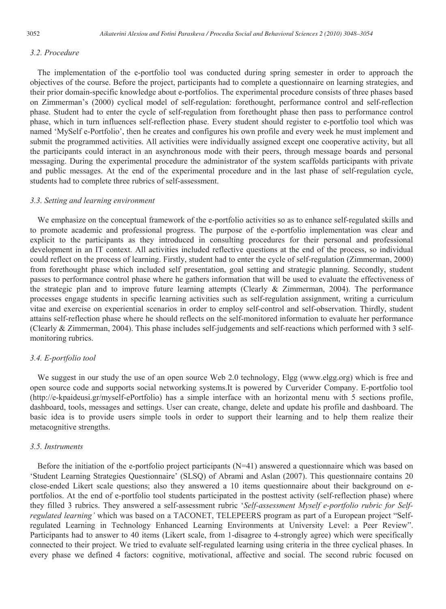## *3.2. Procedure*

The implementation of the e-portfolio tool was conducted during spring semester in order to approach the objectives of the course. Before the project, participants had to complete a questionnaire on learning strategies, and their prior domain-specific knowledge about e-portfolios. The experimental procedure consists of three phases based on Zimmerman's (2000) cyclical model of self-regulation: forethought, performance control and self-reflection phase. Student had to enter the cycle of self-regulation from forethought phase then pass to performance control phase, which in turn influences self-reflection phase. Every student should register to e-portfolio tool which was named 'MySelf e-Portfolio', then he creates and configures his own profile and every week he must implement and submit the programmed activities. All activities were individually assigned except one cooperative activity, but all the participants could interact in an asynchronous mode with their peers, through message boards and personal messaging. During the experimental procedure the administrator of the system scaffolds participants with private and public messages. At the end of the experimental procedure and in the last phase of self-regulation cycle, students had to complete three rubrics of self-assessment.

#### *3.3. Setting and learning environment*

We emphasize on the conceptual framework of the e-portfolio activities so as to enhance self-regulated skills and to promote academic and professional progress. The purpose of the e-portfolio implementation was clear and explicit to the participants as they introduced in consulting procedures for their personal and professional development in an IT context. All activities included reflective questions at the end of the process, so individual could reflect on the process of learning. Firstly, student had to enter the cycle of self-regulation (Zimmerman, 2000) from forethought phase which included self presentation, goal setting and strategic planning. Secondly, student passes to performance control phase where he gathers information that will be used to evaluate the effectiveness of the strategic plan and to improve future learning attempts (Clearly & Zimmerman, 2004). The performance processes engage students in specific learning activities such as self-regulation assignment, writing a curriculum vitae and exercise on experiential scenarios in order to employ self-control and self-observation. Thirdly, student attains self-reflection phase where he should reflects on the self-monitored information to evaluate her performance (Clearly & Zimmerman, 2004). This phase includes self-judgements and self-reactions which performed with 3 selfmonitoring rubrics.

## *3.4. E-portfolio tool*

We suggest in our study the use of an open source Web 2.0 technology, Elgg (www.elgg.org) which is free and open source code and supports social networking systems.It is powered by Curverider Company. E-portfolio tool (http://e-kpaideusi.gr/myself-ePortfolio) has a simple interface with an horizontal menu with 5 sections profile, dashboard, tools, messages and settings. User can create, change, delete and update his profile and dashboard. The basic idea is to provide users simple tools in order to support their learning and to help them realize their metacognitive strengths.

## *3.5. Instruments*

Before the initiation of the e-portfolio project participants (N=41) answered a questionnaire which was based on 'Student Learning Strategies Questionnaire' (SLSQ) of Abrami and Aslan (2007). This questionnaire contains 20 close-ended Likert scale questions; also they answered a 10 items questionnaire about their background on eportfolios. At the end of e-portfolio tool students participated in the posttest activity (self-reflection phase) where they filled 3 rubrics. They answered a self-assessment rubric '*Self-assessment Myself e-portfolio rubric for Selfregulated learning'* which was based on a TACONET, TELEPEERS program as part of a European project "Selfregulated Learning in Technology Enhanced Learning Environments at University Level: a Peer Review". Participants had to answer to 40 items (Likert scale, from 1-disagree to 4-strongly agree) which were specifically connected to their project. We tried to evaluate self-regulated learning using criteria in the three cyclical phases. In every phase we defined 4 factors: cognitive, motivational, affective and social. The second rubric focused on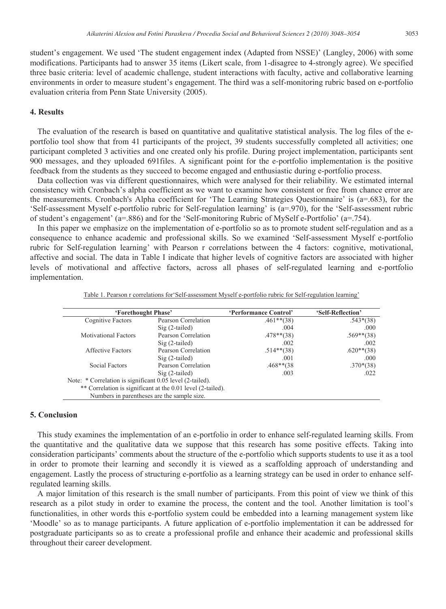student's engagement. We used 'The student engagement index (Adapted from NSSE)' (Langley, 2006) with some modifications. Participants had to answer 35 items (Likert scale, from 1-disagree to 4-strongly agree). We specified three basic criteria: level of academic challenge, student interactions with faculty, active and collaborative learning environments in order to measure student's engagement. The third was a self-monitoring rubric based on e-portfolio evaluation criteria from Penn State University (2005).

## **4. Results**

The evaluation of the research is based on quantitative and qualitative statistical analysis. The log files of the eportfolio tool show that from 41 participants of the project, 39 students successfully completed all activities; one participant completed 3 activities and one created only his profile. During project implementation, participants sent 900 messages, and they uploaded 691files. A significant point for the e-portfolio implementation is the positive feedback from the students as they succeed to become engaged and enthusiastic during e-portfolio process.

Data collection was via different questionnaires, which were analysed for their reliability. We estimated internal consistency with Cronbach's alpha coefficient as we want to examine how consistent or free from chance error are the measurements. Cronbach's Alpha coefficient for 'The Learning Strategies Questionnaire' is (a=.683), for the 'Self-assessment Myself e-portfolio rubric for Self-regulation learning' is (a=.970), for the 'Self-assessment rubric of student's engagement' (a=.886) and for the 'Self-monitoring Rubric of MySelf e-Portfolio' (a=.754).

In this paper we emphasize on the implementation of e-portfolio so as to promote student self-regulation and as a consequence to enhance academic and professional skills. So we examined 'Self-assessment Myself e-portfolio rubric for Self-regulation learning' with Pearson r correlations between the 4 factors: cognitive, motivational, affective and social. The data in Table I indicate that higher levels of cognitive factors are associated with higher levels of motivational and affective factors, across all phases of self-regulated learning and e-portfolio implementation.

| 'Forethought Phase'                                         |                     | 'Performance Control' | 'Self-Reflection' |
|-------------------------------------------------------------|---------------------|-----------------------|-------------------|
| Cognitive Factors                                           | Pearson Correlation | $.461**$ (38)         | $.543*(38)$       |
|                                                             | $Sig(2-tailed)$     | .004                  | .000              |
| <b>Motivational Factors</b>                                 | Pearson Correlation | $.478**$ (38)         | $.569**$ (38)     |
|                                                             | $Sig(2-tailed)$     | .002                  | .002              |
| Affective Factors                                           | Pearson Correlation | $.514**$ (38)         | $.620**$ (38)     |
|                                                             | Sig (2-tailed)      | .001                  | .000              |
| Social Factors                                              | Pearson Correlation | $.468**$ (38          | $.370*(38)$       |
|                                                             | $Sig(2-tailed)$     | .003                  | .022              |
| Note: * Correlation is significant 0.05 level (2-tailed).   |                     |                       |                   |
| ** Correlation is significant at the 0.01 level (2-tailed). |                     |                       |                   |
| Numbers in parentheses are the sample size.                 |                     |                       |                   |
|                                                             |                     |                       |                   |

Table 1. Pearson r correlations for'Self-assessment Myself e-portfolio rubric for Self-regulation learning'

## **5. Conclusion**

This study examines the implementation of an e-portfolio in order to enhance self-regulated learning skills. From the quantitative and the qualitative data we suppose that this research has some positive effects. Taking into consideration participants' comments about the structure of the e-portfolio which supports students to use it as a tool in order to promote their learning and secondly it is viewed as a scaffolding approach of understanding and engagement. Lastly the process of structuring e-portfolio as a learning strategy can be used in order to enhance selfregulated learning skills.

A major limitation of this research is the small number of participants. From this point of view we think of this research as a pilot study in order to examine the process, the content and the tool. Another limitation is tool's functionalities, in other words this e-portfolio system could be embedded into a learning management system like 'Moodle' so as to manage participants. A future application of e-portfolio implementation it can be addressed for postgraduate participants so as to create a professional profile and enhance their academic and professional skills throughout their career development.